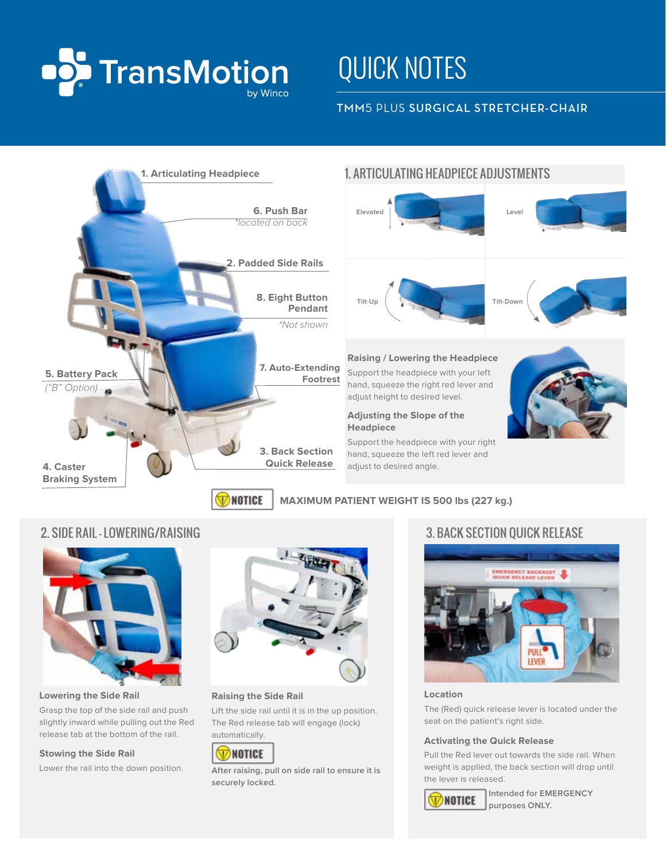

# QUICK NOTES

# TMM5 PLUS SURGICAL STRETCHER-CHAIR



# 1. ARTICULATING HEADPIECE ADJUSTMENTS





# **Raising / Lowering the Headpiece**

Support the headpiece with your left hand, squeeze the right red lever and adjust height to desired level.

### **Adjusting the Slope of the Headpiece**

Support the headpiece with your right hand, squeeze the left red lever and adjust to desired angle.

2. SIDE RAIL - LOWERING/RAISING 3. BACK SECTION OUICK RELEASE



# Grasp the top of the side rail and push

slightly inward while pulling out the Red release tab at the bottom of the rail.

### **Stowing the Side Rail**

Lower the rail into the down position.



#### **Raising the Side Rail**

Lift the side rail until it is in the up position. The Red release tab will engage (lock) automatically.

# **W** NOTICE

**After raising, pull on side rail to ensure it is securely locked.**



### **Location**

The (Red) quick release lever is located under the seat on the patient's right side.

#### **Activating the Quick Release**

Pull the Red lever out towards the side rail. When weight is applied, the back section will drop until the lever is released.



**Intended for EMERGENCY purposes ONLY.**